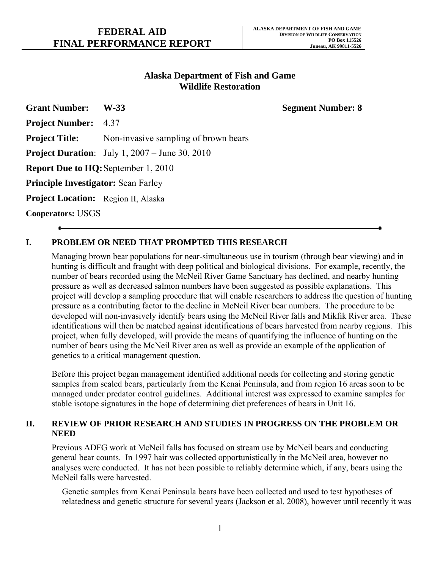## **Alaska Department of Fish and Game Wildlife Restoration**

**Grant Number: W-33 Segment Number: 8** 

**Project Number:** 4.37

**Project Title:** Non-invasive sampling of brown bears

**Project Duration**: July 1, 2007 – June 30, 2010

**Report Due to HQ:**September 1, 2010

**Principle Investigator:** Sean Farley

**Project Location:** Region II, Alaska

**Cooperators:** USGS

## **I. PROBLEM OR NEED THAT PROMPTED THIS RESEARCH**

Managing brown bear populations for near-simultaneous use in tourism (through bear viewing) and in hunting is difficult and fraught with deep political and biological divisions. For example, recently, the number of bears recorded using the McNeil River Game Sanctuary has declined, and nearby hunting pressure as well as decreased salmon numbers have been suggested as possible explanations. This project will develop a sampling procedure that will enable researchers to address the question of hunting pressure as a contributing factor to the decline in McNeil River bear numbers. The procedure to be developed will non-invasively identify bears using the McNeil River falls and Mikfik River area. These identifications will then be matched against identifications of bears harvested from nearby regions. This project, when fully developed, will provide the means of quantifying the influence of hunting on the number of bears using the McNeil River area as well as provide an example of the application of genetics to a critical management question.

Before this project began management identified additional needs for collecting and storing genetic samples from sealed bears, particularly from the Kenai Peninsula, and from region 16 areas soon to be managed under predator control guidelines. Additional interest was expressed to examine samples for stable isotope signatures in the hope of determining diet preferences of bears in Unit 16.

#### **II. REVIEW OF PRIOR RESEARCH AND STUDIES IN PROGRESS ON THE PROBLEM OR NEED**

Previous ADFG work at McNeil falls has focused on stream use by McNeil bears and conducting general bear counts. In 1997 hair was collected opportunistically in the McNeil area, however no analyses were conducted. It has not been possible to reliably determine which, if any, bears using the McNeil falls were harvested.

Genetic samples from Kenai Peninsula bears have been collected and used to test hypotheses of relatedness and genetic structure for several years (Jackson et al. 2008), however until recently it was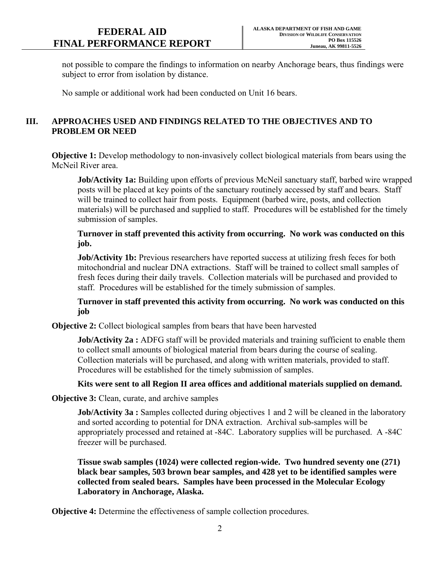not possible to compare the findings to information on nearby Anchorage bears, thus findings were subject to error from isolation by distance.

No sample or additional work had been conducted on Unit 16 bears.

## **III. APPROACHES USED AND FINDINGS RELATED TO THE OBJECTIVES AND TO PROBLEM OR NEED**

**Objective 1:** Develop methodology to non-invasively collect biological materials from bears using the McNeil River area.

**Job/Activity 1a:** Building upon efforts of previous McNeil sanctuary staff, barbed wire wrapped posts will be placed at key points of the sanctuary routinely accessed by staff and bears. Staff will be trained to collect hair from posts. Equipment (barbed wire, posts, and collection materials) will be purchased and supplied to staff. Procedures will be established for the timely submission of samples.

**Turnover in staff prevented this activity from occurring. No work was conducted on this job.** 

**Job/Activity 1b:** Previous researchers have reported success at utilizing fresh feces for both mitochondrial and nuclear DNA extractions. Staff will be trained to collect small samples of fresh feces during their daily travels. Collection materials will be purchased and provided to staff. Procedures will be established for the timely submission of samples.

**Turnover in staff prevented this activity from occurring. No work was conducted on this job** 

**Objective 2:** Collect biological samples from bears that have been harvested

**Job/Activity 2a :** ADFG staff will be provided materials and training sufficient to enable them to collect small amounts of biological material from bears during the course of sealing. Collection materials will be purchased, and along with written materials, provided to staff. Procedures will be established for the timely submission of samples.

## **Kits were sent to all Region II area offices and additional materials supplied on demand.**

**Objective 3:** Clean, curate, and archive samples

**Job/Activity 3a :** Samples collected during objectives 1 and 2 will be cleaned in the laboratory and sorted according to potential for DNA extraction. Archival sub-samples will be appropriately processed and retained at -84C. Laboratory supplies will be purchased. A -84C freezer will be purchased.

**Tissue swab samples (1024) were collected region-wide. Two hundred seventy one (271) black bear samples, 503 brown bear samples, and 428 yet to be identified samples were collected from sealed bears. Samples have been processed in the Molecular Ecology Laboratory in Anchorage, Alaska.** 

**Objective 4:** Determine the effectiveness of sample collection procedures.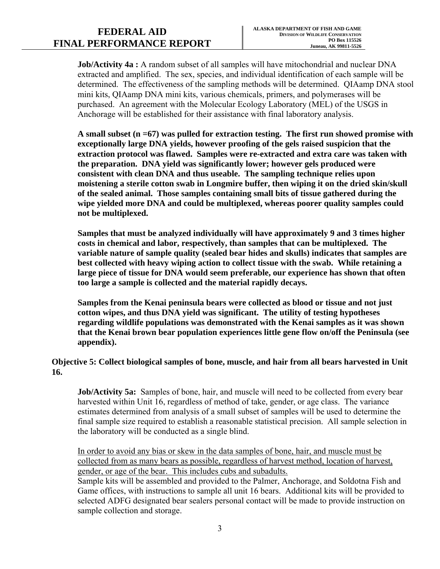# **FINAL PERFORMANCE REPORT** Juneau, AK 99811-5526

**Job/Activity 4a :** A random subset of all samples will have mitochondrial and nuclear DNA extracted and amplified. The sex, species, and individual identification of each sample will be determined. The effectiveness of the sampling methods will be determined. QIAamp DNA stool mini kits, QIAamp DNA mini kits, various chemicals, primers, and polymerases will be purchased. An agreement with the Molecular Ecology Laboratory (MEL) of the USGS in Anchorage will be established for their assistance with final laboratory analysis.

**A small subset (n =67) was pulled for extraction testing. The first run showed promise with exceptionally large DNA yields, however proofing of the gels raised suspicion that the extraction protocol was flawed. Samples were re-extracted and extra care was taken with the preparation. DNA yield was significantly lower; however gels produced were consistent with clean DNA and thus useable. The sampling technique relies upon moistening a sterile cotton swab in Longmire buffer, then wiping it on the dried skin/skull of the sealed animal. Those samples containing small bits of tissue gathered during the wipe yielded more DNA and could be multiplexed, whereas poorer quality samples could not be multiplexed.** 

**Samples that must be analyzed individually will have approximately 9 and 3 times higher costs in chemical and labor, respectively, than samples that can be multiplexed. The variable nature of sample quality (sealed bear hides and skulls) indicates that samples are best collected with heavy wiping action to collect tissue with the swab. While retaining a large piece of tissue for DNA would seem preferable, our experience has shown that often too large a sample is collected and the material rapidly decays.** 

**Samples from the Kenai peninsula bears were collected as blood or tissue and not just cotton wipes, and thus DNA yield was significant. The utility of testing hypotheses regarding wildlife populations was demonstrated with the Kenai samples as it was shown that the Kenai brown bear population experiences little gene flow on/off the Peninsula (see appendix).** 

## **Objective 5: Collect biological samples of bone, muscle, and hair from all bears harvested in Unit 16.**

the laboratory will be conducted as a single blind. **Job/Activity 5a:** Samples of bone, hair, and muscle will need to be collected from every bear harvested within Unit 16, regardless of method of take, gender, or age class. The variance estimates determined from analysis of a small subset of samples will be used to determine the final sample size required to establish a reasonable statistical precision. All sample selection in

In order to avoid any bias or skew in the data samples of bone, hair, and muscle must be collected from as many bears as possible, regardless of harvest method, location of harvest, gender, or age of the bear. This includes cubs and subadults.

Sample kits will be assembled and provided to the Palmer, Anchorage, and Soldotna Fish and Game offices, with instructions to sample all unit 16 bears. Additional kits will be provided to selected ADFG designated bear sealers personal contact will be made to provide instruction on sample collection and storage.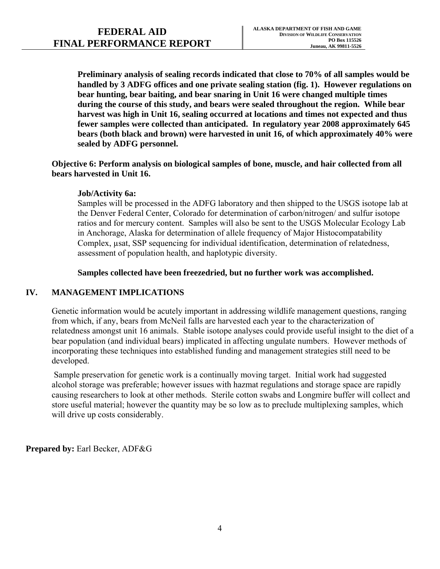**Preliminary analysis of sealing records indicated that close to 70% of all samples would be handled by 3 ADFG offices and one private sealing station (fig. 1). However regulations on bear hunting, bear baiting, and bear snaring in Unit 16 were changed multiple times during the course of this study, and bears were sealed throughout the region. While bear harvest was high in Unit 16, sealing occurred at locations and times not expected and thus fewer samples were collected than anticipated. In regulatory year 2008 approximately 645 bears (both black and brown) were harvested in unit 16, of which approximately 40% were sealed by ADFG personnel.** 

**Objective 6: Perform analysis on biological samples of bone, muscle, and hair collected from all bears harvested in Unit 16.** 

#### **Job/Activity 6a:**

Samples will be processed in the ADFG laboratory and then shipped to the USGS isotope lab at the Denver Federal Center, Colorado for determination of carbon/nitrogen/ and sulfur isotope ratios and for mercury content. Samples will also be sent to the USGS Molecular Ecology Lab in Anchorage, Alaska for determination of allele frequency of Major Histocompatability Complex, µsat, SSP sequencing for individual identification, determination of relatedness, assessment of population health, and haplotypic diversity.

#### **Samples collected have been freezedried, but no further work was accomplished.**

## **IV. MANAGEMENT IMPLICATIONS**

Genetic information would be acutely important in addressing wildlife management questions, ranging from which, if any, bears from McNeil falls are harvested each year to the characterization of relatedness amongst unit 16 animals. Stable isotope analyses could provide useful insight to the diet of a bear population (and individual bears) implicated in affecting ungulate numbers. However methods of incorporating these techniques into established funding and management strategies still need to be developed.

 Sample preservation for genetic work is a continually moving target. Initial work had suggested alcohol storage was preferable; however issues with hazmat regulations and storage space are rapidly causing researchers to look at other methods. Sterile cotton swabs and Longmire buffer will collect and store useful material; however the quantity may be so low as to preclude multiplexing samples, which will drive up costs considerably.

**Prepared by:** Earl Becker, ADF&G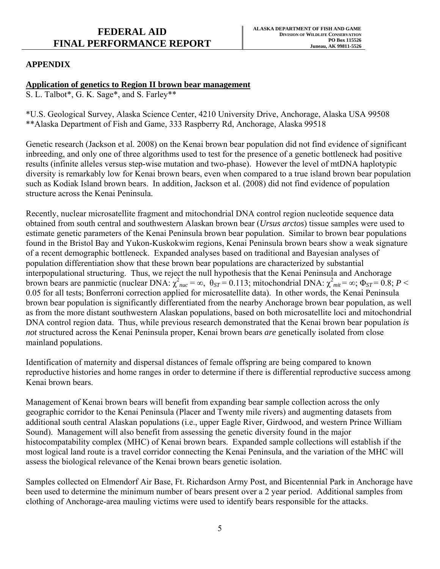# **FINAL PERFORMANCE REPORT** Juneau, AK 99811-5526

## *APPENDIX*

### Application of genetics to Region II brown bear management

S. L. Talbot\*, G. K. Sage\*, and S. Farley\*\*

\*U.S. Geological Survey, Alaska Science Center, 4210 University Drive, Anchorage, Alaska USA 99508 \*\*Alaska Department of Fish and Game, 333 Raspberry Rd, Anchorage, Alaska 99518

Genetic research (Jackson et al. 2008) on the Kenai brown bear population did not find evidence of significant inbreeding, and only one of three algorithms used to test for the presence of a genetic bottleneck had positive results (infinite alleles versus step-wise mutation and two-phase). However the level of mtDNA haplotypic diversity is remarkably low for Kenai brown bears, even when compared to a true island brown bear population such as Kodiak Island brown bears. In addition, Jackson et al. (2008) did not find evidence of population structure across the Kenai Peninsula.

Recently, nuclear microsatellite fragment and mitochondrial DNA control region nucleotide sequence data obtained from south central and southwestern Alaskan brown bear (*Ursus arctos*) tissue samples were used to estimate genetic parameters of the Kenai Peninsula brown bear population. Similar to brown bear populations found in the Bristol Bay and Yukon-Kuskokwim regions, Kenai Peninsula brown bears show a weak signature of a recent demographic bottleneck. Expanded analyses based on traditional and Bayesian analyses of population differentiation show that these brown bear populations are characterized by substantial interpopulational structuring. Thus, we reject the null hypothesis that the Kenai Peninsula and Anchorage brown bears are panmictic (nuclear DNA:  $\chi^2_{nuc} = \infty$ ,  $\theta_{ST} = 0.113$ ; mitochondrial DNA:  $\chi^2_{mit} = \infty$ ;  $\Phi_{ST} = 0.8$ ;  $P <$ 0.05 for all tests; Bonferroni correction applied for microsatellite data). In other words, the Kenai Peninsula brown bear population is significantly differentiated from the nearby Anchorage brown bear population, as well as from the more distant southwestern Alaskan populations, based on both microsatellite loci and mitochondrial DNA control region data. Thus, while previous research demonstrated that the Kenai brown bear population *is not* structured across the Kenai Peninsula proper, Kenai brown bears *are* genetically isolated from close mainland populations.

Identification of maternity and dispersal distances of female offspring are being compared to known reproductive histories and home ranges in order to determine if there is differential reproductive success among Kenai brown bears.

Management of Kenai brown bears will benefit from expanding bear sample collection across the only geographic corridor to the Kenai Peninsula (Placer and Twenty mile rivers) and augmenting datasets from additional south central Alaskan populations (i.e., upper Eagle River, Girdwood, and western Prince William Sound). Management will also benefit from assessing the genetic diversity found in the major histocompatability complex (MHC) of Kenai brown bears. Expanded sample collections will establish if the most logical land route is a travel corridor connecting the Kenai Peninsula, and the variation of the MHC will assess the biological relevance of the Kenai brown bears genetic isolation.

Samples collected on Elmendorf Air Base, Ft. Richardson Army Post, and Bicentennial Park in Anchorage have been used to determine the minimum number of bears present over a 2 year period. Additional samples from clothing of Anchorage-area mauling victims were used to identify bears responsible for the attacks.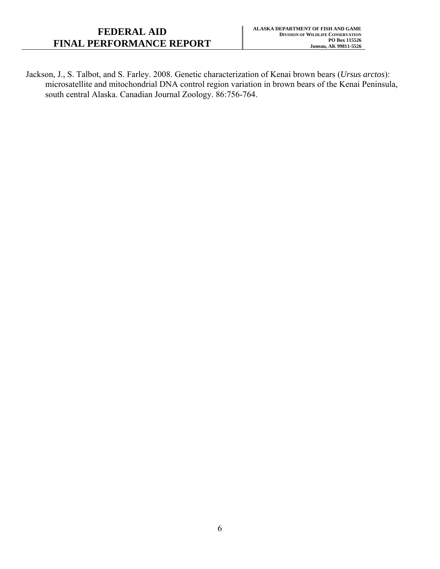Jackson, J., S. Talbot, and S. Farley. 2008. Genetic characterization of Kenai brown bears (*Ursus arctos*): microsatellite and mitochondrial DNA control region variation in brown bears of the Kenai Peninsula, south central Alaska. Canadian Journal Zoology. 86:756-764.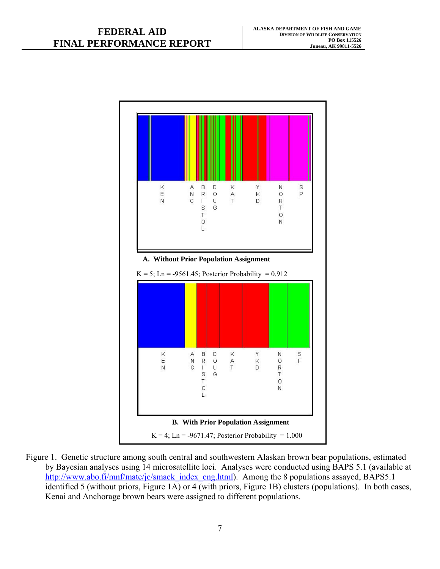

Figure 1. Genetic structure among south central and southwestern Alaskan brown bear populations, estimated by Bayesian analyses using 14 microsatellite loci. Analyses were conducted using BAPS 5.1 (available at http://www.abo.fi/mnf/mate/jc/smack\_index\_eng.html). Among the 8 populations assayed, BAPS5.1 identified 5 (without priors, Figure 1A) or 4 (with priors, Figure 1B) clusters (populations). In both cases, Kenai and Anchorage brown bears were assigned to different populations.